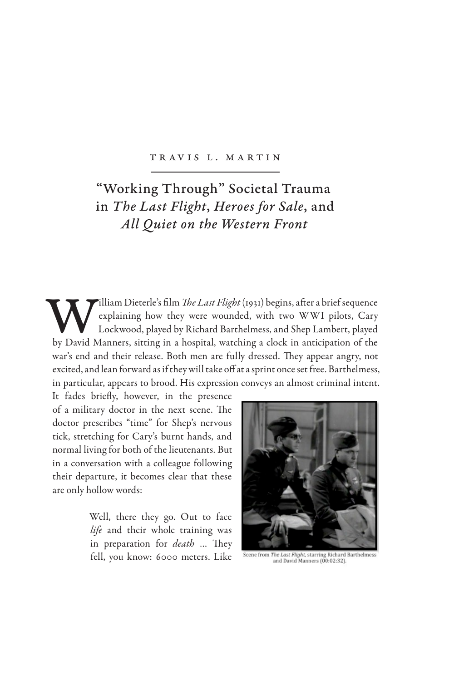## TR AV IS L. M ARTIN

## "Working Through" Societal Trauma in *The Last Flight*, *Heroes for Sale*, and *All Quiet on the Western Front*

**William Dieterle's film** *The Last Flight* (1931) begins, after a brief sequence explaining how they were wounded, with two WWI pilots, Cary Lockwood, played by Richard Barthelmess, and Shep Lambert, played by David Manne explaining how they were wounded, with two WWI pilots, Cary Lockwood, played by Richard Barthelmess, and Shep Lambert, played war's end and their release. Both men are fully dressed. They appear angry, not excited, and lean forward as if they will take off at a sprint once set free. Barthelmess, in particular, appears to brood. His expression conveys an almost criminal intent.

It fades briefly, however, in the presence of a military doctor in the next scene. The doctor prescribes "time" for Shep's nervous tick, stretching for Cary's burnt hands, and normal living for both of the lieutenants. But in a conversation with a colleague following their departure, it becomes clear that these are only hollow words:

> Well, there they go. Out to face *life* and their whole training was in preparation for *death* … They fell, you know: 6000 meters. Like



Scene from The Last Flight, starring Richard Barthel<br>and David Manners (00:02:32).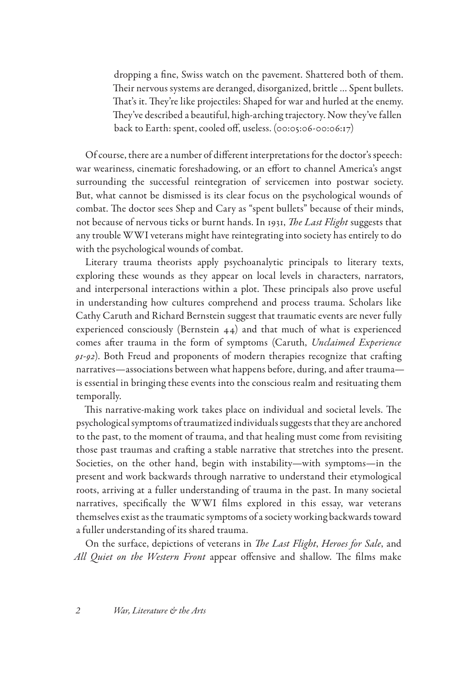dropping a fine, Swiss watch on the pavement. Shattered both of them. Their nervous systems are deranged, disorganized, brittle … Spent bullets. That's it. They're like projectiles: Shaped for war and hurled at the enemy. They've described a beautiful, high-arching trajectory. Now they've fallen back to Earth: spent, cooled off, useless. (00:05:06-00:06:17)

Of course, there are a number of different interpretations for the doctor's speech: war weariness, cinematic foreshadowing, or an effort to channel America's angst surrounding the successful reintegration of servicemen into postwar society. But, what cannot be dismissed is its clear focus on the psychological wounds of combat. The doctor sees Shep and Cary as "spent bullets" because of their minds, not because of nervous ticks or burnt hands. In 1931, *The Last Flight* suggests that any trouble WWI veterans might have reintegrating into society has entirely to do with the psychological wounds of combat.

Literary trauma theorists apply psychoanalytic principals to literary texts, exploring these wounds as they appear on local levels in characters, narrators, and interpersonal interactions within a plot. These principals also prove useful in understanding how cultures comprehend and process trauma. Scholars like Cathy Caruth and Richard Bernstein suggest that traumatic events are never fully experienced consciously (Bernstein 44) and that much of what is experienced comes after trauma in the form of symptoms (Caruth, *Unclaimed Experience 91-92*). Both Freud and proponents of modern therapies recognize that crafting narratives—associations between what happens before, during, and after trauma is essential in bringing these events into the conscious realm and resituating them temporally.

This narrative-making work takes place on individual and societal levels. The psychological symptoms of traumatized individuals suggests that they are anchored to the past, to the moment of trauma, and that healing must come from revisiting those past traumas and crafting a stable narrative that stretches into the present. Societies, on the other hand, begin with instability—with symptoms—in the present and work backwards through narrative to understand their etymological roots, arriving at a fuller understanding of trauma in the past. In many societal narratives, specifically the WWI films explored in this essay, war veterans themselves exist as the traumatic symptoms of a society working backwards toward a fuller understanding of its shared trauma.

On the surface, depictions of veterans in *The Last Flight*, *Heroes for Sale*, and *All Quiet on the Western Front* appear offensive and shallow. The films make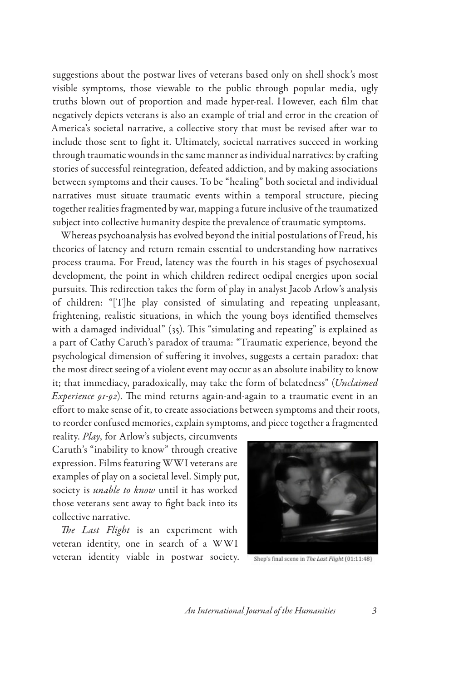suggestions about the postwar lives of veterans based only on shell shock's most visible symptoms, those viewable to the public through popular media, ugly truths blown out of proportion and made hyper-real. However, each film that negatively depicts veterans is also an example of trial and error in the creation of America's societal narrative, a collective story that must be revised after war to include those sent to fight it. Ultimately, societal narratives succeed in working through traumatic wounds in the same manner as individual narratives: by crafting stories of successful reintegration, defeated addiction, and by making associations between symptoms and their causes. To be "healing" both societal and individual narratives must situate traumatic events within a temporal structure, piecing together realities fragmented by war, mapping a future inclusive of the traumatized subject into collective humanity despite the prevalence of traumatic symptoms.

Whereas psychoanalysis has evolved beyond the initial postulations of Freud, his theories of latency and return remain essential to understanding how narratives process trauma. For Freud, latency was the fourth in his stages of psychosexual development, the point in which children redirect oedipal energies upon social pursuits. This redirection takes the form of play in analyst Jacob Arlow's analysis of children: "[T]he play consisted of simulating and repeating unpleasant, frightening, realistic situations, in which the young boys identified themselves with a damaged individual" (35). This "simulating and repeating" is explained as a part of Cathy Caruth's paradox of trauma: "Traumatic experience, beyond the psychological dimension of suffering it involves, suggests a certain paradox: that the most direct seeing of a violent event may occur as an absolute inability to know it; that immediacy, paradoxically, may take the form of belatedness" (*Unclaimed Experience 91-92*). The mind returns again-and-again to a traumatic event in an effort to make sense of it, to create associations between symptoms and their roots, to reorder confused memories, explain symptoms, and piece together a fragmented

reality. *Play*, for Arlow's subjects, circumvents Caruth's "inability to know" through creative expression. Films featuring WWI veterans are examples of play on a societal level. Simply put, society is *unable to know* until it has worked those veterans sent away to fight back into its collective narrative.

*The Last Flight* is an experiment with veteran identity, one in search of a WWI veteran identity viable in postwar society.



Shep's final scene in The Last Flight (01:11:48)

*An International Journal of the Humanities 3*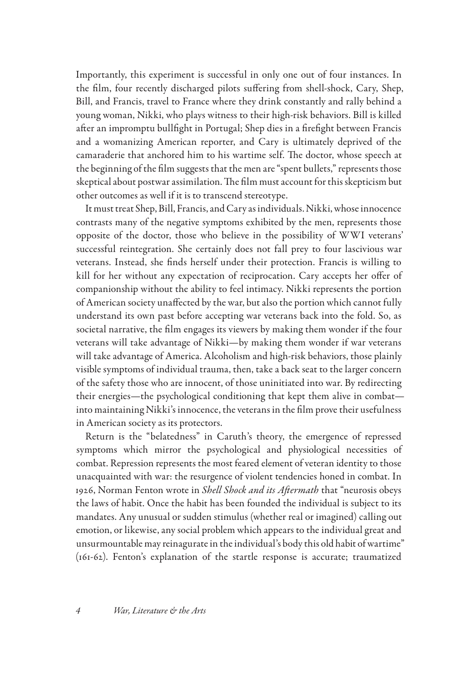Importantly, this experiment is successful in only one out of four instances. In the film, four recently discharged pilots suffering from shell-shock, Cary, Shep, Bill, and Francis, travel to France where they drink constantly and rally behind a young woman, Nikki, who plays witness to their high-risk behaviors. Bill is killed after an impromptu bullfight in Portugal; Shep dies in a firefight between Francis and a womanizing American reporter, and Cary is ultimately deprived of the camaraderie that anchored him to his wartime self. The doctor, whose speech at the beginning of the film suggests that the men are "spent bullets," represents those skeptical about postwar assimilation. The film must account for this skepticism but other outcomes as well if it is to transcend stereotype.

It must treat Shep, Bill, Francis, and Cary as individuals. Nikki, whose innocence contrasts many of the negative symptoms exhibited by the men, represents those opposite of the doctor, those who believe in the possibility of WWI veterans' successful reintegration. She certainly does not fall prey to four lascivious war veterans. Instead, she finds herself under their protection. Francis is willing to kill for her without any expectation of reciprocation. Cary accepts her offer of companionship without the ability to feel intimacy. Nikki represents the portion of American society unaffected by the war, but also the portion which cannot fully understand its own past before accepting war veterans back into the fold. So, as societal narrative, the film engages its viewers by making them wonder if the four veterans will take advantage of Nikki—by making them wonder if war veterans will take advantage of America. Alcoholism and high-risk behaviors, those plainly visible symptoms of individual trauma, then, take a back seat to the larger concern of the safety those who are innocent, of those uninitiated into war. By redirecting their energies—the psychological conditioning that kept them alive in combat into maintaining Nikki's innocence, the veterans in the film prove their usefulness in American society as its protectors.

Return is the "belatedness" in Caruth's theory, the emergence of repressed symptoms which mirror the psychological and physiological necessities of combat. Repression represents the most feared element of veteran identity to those unacquainted with war: the resurgence of violent tendencies honed in combat. In 1926, Norman Fenton wrote in *Shell Shock and its Aftermath* that "neurosis obeys the laws of habit. Once the habit has been founded the individual is subject to its mandates. Any unusual or sudden stimulus (whether real or imagined) calling out emotion, or likewise, any social problem which appears to the individual great and unsurmountable may reinagurate in the individual's body this old habit of wartime" (161-62). Fenton's explanation of the startle response is accurate; traumatized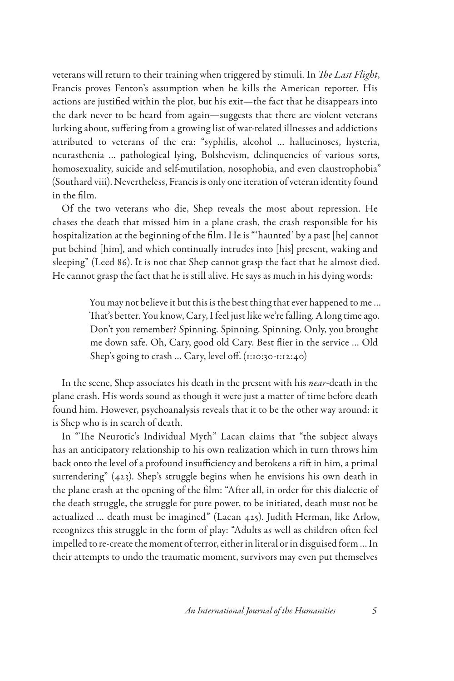veterans will return to their training when triggered by stimuli. In *The Last Flight*, Francis proves Fenton's assumption when he kills the American reporter. His actions are justified within the plot, but his exit—the fact that he disappears into the dark never to be heard from again—suggests that there are violent veterans lurking about, suffering from a growing list of war-related illnesses and addictions attributed to veterans of the era: "syphilis, alcohol … hallucinoses, hysteria, neurasthenia … pathological lying, Bolshevism, delinquencies of various sorts, homosexuality, suicide and self-mutilation, nosophobia, and even claustrophobia" (Southard viii). Nevertheless, Francis is only one iteration of veteran identity found in the film.

Of the two veterans who die, Shep reveals the most about repression. He chases the death that missed him in a plane crash, the crash responsible for his hospitalization at the beginning of the film. He is "'haunted' by a past [he] cannot put behind [him], and which continually intrudes into [his] present, waking and sleeping" (Leed 86). It is not that Shep cannot grasp the fact that he almost died. He cannot grasp the fact that he is still alive. He says as much in his dying words:

> You may not believe it but this is the best thing that ever happened to me … That's better. You know, Cary, I feel just like we're falling. A long time ago. Don't you remember? Spinning. Spinning. Spinning. Only, you brought me down safe. Oh, Cary, good old Cary. Best flier in the service … Old Shep's going to crash ... Cary, level off. (1:10:30-1:12:40)

In the scene, Shep associates his death in the present with his *near*-death in the plane crash. His words sound as though it were just a matter of time before death found him. However, psychoanalysis reveals that it to be the other way around: it is Shep who is in search of death.

In "The Neurotic's Individual Myth" Lacan claims that "the subject always has an anticipatory relationship to his own realization which in turn throws him back onto the level of a profound insufficiency and betokens a rift in him, a primal surrendering" (423). Shep's struggle begins when he envisions his own death in the plane crash at the opening of the film: "After all, in order for this dialectic of the death struggle, the struggle for pure power, to be initiated, death must not be actualized … death must be imagined" (Lacan 425). Judith Herman, like Arlow, recognizes this struggle in the form of play: "Adults as well as children often feel impelled to re-create the moment of terror, either in literal or in disguised form … In their attempts to undo the traumatic moment, survivors may even put themselves

*An International Journal of the Humanities 5*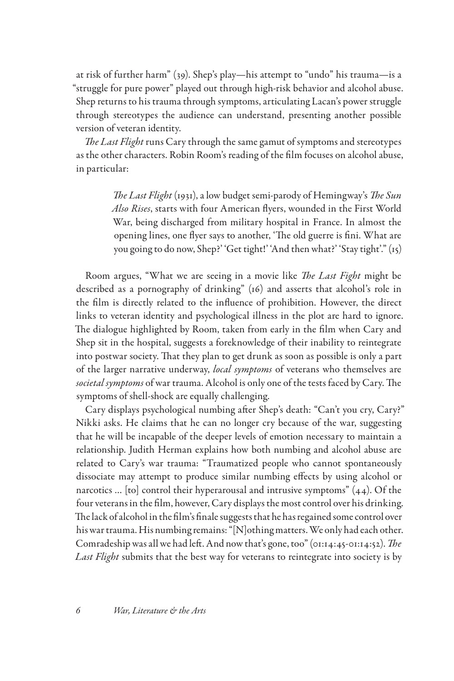at risk of further harm" (39). Shep's play—his attempt to "undo" his trauma—is a "struggle for pure power" played out through high-risk behavior and alcohol abuse. Shep returns to his trauma through symptoms, articulating Lacan's power struggle through stereotypes the audience can understand, presenting another possible version of veteran identity.

*The Last Flight* runs Cary through the same gamut of symptoms and stereotypes as the other characters. Robin Room's reading of the film focuses on alcohol abuse, in particular:

> *The Last Flight* (1931), a low budget semi-parody of Hemingway's *The Sun Also Rises*, starts with four American flyers, wounded in the First World War, being discharged from military hospital in France. In almost the opening lines, one flyer says to another, 'The old guerre is fini. What are you going to do now, Shep?' 'Get tight!' 'And then what?' 'Stay tight'." (15)

Room argues, "What we are seeing in a movie like *The Last Fight* might be described as a pornography of drinking" (16) and asserts that alcohol's role in the film is directly related to the influence of prohibition. However, the direct links to veteran identity and psychological illness in the plot are hard to ignore. The dialogue highlighted by Room, taken from early in the film when Cary and Shep sit in the hospital, suggests a foreknowledge of their inability to reintegrate into postwar society. That they plan to get drunk as soon as possible is only a part of the larger narrative underway, *local symptoms* of veterans who themselves are *societal symptoms* of war trauma. Alcohol is only one of the tests faced by Cary. The symptoms of shell-shock are equally challenging.

Cary displays psychological numbing after Shep's death: "Can't you cry, Cary?" Nikki asks. He claims that he can no longer cry because of the war, suggesting that he will be incapable of the deeper levels of emotion necessary to maintain a relationship. Judith Herman explains how both numbing and alcohol abuse are related to Cary's war trauma: "Traumatized people who cannot spontaneously dissociate may attempt to produce similar numbing effects by using alcohol or narcotics … [to] control their hyperarousal and intrusive symptoms" (44). Of the four veterans in the film, however, Cary displays the most control over his drinking. The lack of alcohol in the film's finale suggests that he has regained some control over his war trauma. His numbing remains: "[N]othing matters. We only had each other. Comradeship was all we had left. And now that's gone, too" (01:14:45-01:14:52). *The Last Flight* submits that the best way for veterans to reintegrate into society is by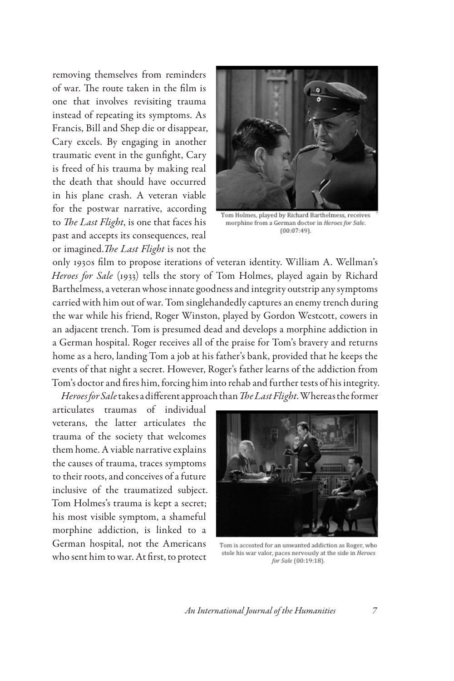removing themselves from reminders of war. The route taken in the film is one that involves revisiting trauma instead of repeating its symptoms. As Francis, Bill and Shep die or disappear, Cary excels. By engaging in another traumatic event in the gunfight, Cary is freed of his trauma by making real the death that should have occurred in his plane crash. A veteran viable for the postwar narrative, according to *The Last Flight*, is one that faces his past and accepts its consequences, real or imagined.*The Last Flight* is not the



Tom Holmes, played by Richard Barthelmess, receives morphine from a German doctor in Heroes for Sale.  $(00:07:49)$ .

only 1930s film to propose iterations of veteran identity. William A. Wellman's *Heroes for Sale* (1933) tells the story of Tom Holmes, played again by Richard Barthelmess, a veteran whose innate goodness and integrity outstrip any symptoms carried with him out of war. Tom singlehandedly captures an enemy trench during the war while his friend, Roger Winston, played by Gordon Westcott, cowers in an adjacent trench. Tom is presumed dead and develops a morphine addiction in a German hospital. Roger receives all of the praise for Tom's bravery and returns home as a hero, landing Tom a job at his father's bank, provided that he keeps the events of that night a secret. However, Roger's father learns of the addiction from Tom's doctor and fires him, forcing him into rehab and further tests of his integrity. *Heroes for Sale* takes a different approach than *The Last Flight*. Whereas the former

articulates traumas of individual veterans, the latter articulates the trauma of the society that welcomes them home. A viable narrative explains the causes of trauma, traces symptoms to their roots, and conceives of a future inclusive of the traumatized subject. Tom Holmes's trauma is kept a secret; his most visible symptom, a shameful morphine addiction, is linked to a German hospital, not the Americans who sent him to war. At first, to protect



Tom is accosted for an unwanted addiction as Roger, who stole his war valor, paces nervously at the side in Heroes for Sale (00:19:18).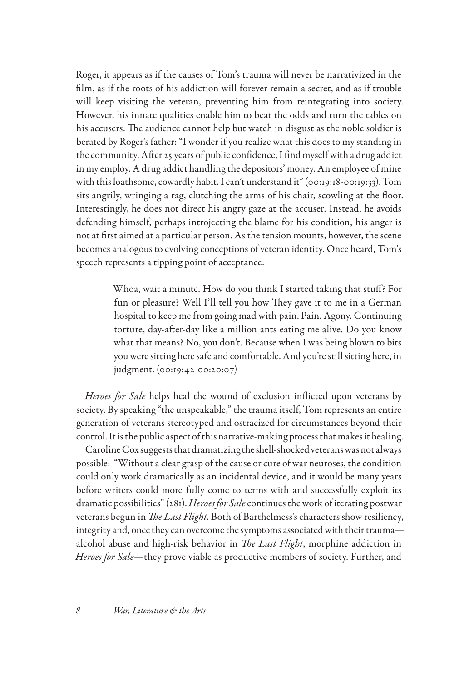Roger, it appears as if the causes of Tom's trauma will never be narrativized in the film, as if the roots of his addiction will forever remain a secret, and as if trouble will keep visiting the veteran, preventing him from reintegrating into society. However, his innate qualities enable him to beat the odds and turn the tables on his accusers. The audience cannot help but watch in disgust as the noble soldier is berated by Roger's father: "I wonder if you realize what this does to my standing in the community. After 25 years of public confidence, I find myself with a drug addict in my employ. A drug addict handling the depositors' money. An employee of mine with this loathsome, cowardly habit. I can't understand it" (00:19:18-00:19:33). Tom sits angrily, wringing a rag, clutching the arms of his chair, scowling at the floor. Interestingly, he does not direct his angry gaze at the accuser. Instead, he avoids defending himself, perhaps introjecting the blame for his condition; his anger is not at first aimed at a particular person. As the tension mounts, however, the scene becomes analogous to evolving conceptions of veteran identity. Once heard, Tom's speech represents a tipping point of acceptance:

> Whoa, wait a minute. How do you think I started taking that stuff? For fun or pleasure? Well I'll tell you how They gave it to me in a German hospital to keep me from going mad with pain. Pain. Agony. Continuing torture, day-after-day like a million ants eating me alive. Do you know what that means? No, you don't. Because when I was being blown to bits you were sitting here safe and comfortable. And you're still sitting here, in judgment. (00:19:42-00:20:07)

*Heroes for Sale* helps heal the wound of exclusion inflicted upon veterans by society. By speaking "the unspeakable," the trauma itself, Tom represents an entire generation of veterans stereotyped and ostracized for circumstances beyond their control. It is the public aspect of this narrative-making process that makes it healing.

Caroline Cox suggests that dramatizing the shell-shocked veterans was not always possible: "Without a clear grasp of the cause or cure of war neuroses, the condition could only work dramatically as an incidental device, and it would be many years before writers could more fully come to terms with and successfully exploit its dramatic possibilities" (281). *Heroes for Sale* continues the work of iterating postwar veterans begun in *The Last Flight*. Both of Barthelmess's characters show resiliency, integrity and, once they can overcome the symptoms associated with their trauma alcohol abuse and high-risk behavior in *The Last Flight*, morphine addiction in *Heroes for Sale*—they prove viable as productive members of society. Further, and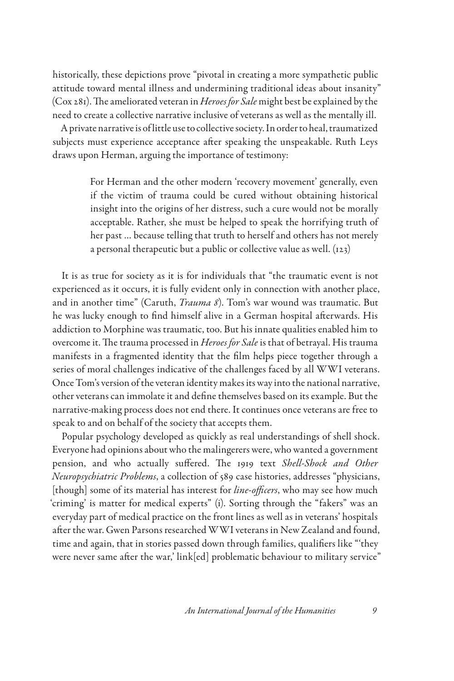historically, these depictions prove "pivotal in creating a more sympathetic public attitude toward mental illness and undermining traditional ideas about insanity" (Cox 281). The ameliorated veteran in *Heroes for Sale* might best be explained by the need to create a collective narrative inclusive of veterans as well as the mentally ill.

A private narrative is of little use to collective society. In order to heal, traumatized subjects must experience acceptance after speaking the unspeakable. Ruth Leys draws upon Herman, arguing the importance of testimony:

> For Herman and the other modern 'recovery movement' generally, even if the victim of trauma could be cured without obtaining historical insight into the origins of her distress, such a cure would not be morally acceptable. Rather, she must be helped to speak the horrifying truth of her past … because telling that truth to herself and others has not merely a personal therapeutic but a public or collective value as well. (123)

It is as true for society as it is for individuals that "the traumatic event is not experienced as it occurs, it is fully evident only in connection with another place, and in another time" (Caruth, *Trauma 8*). Tom's war wound was traumatic. But he was lucky enough to find himself alive in a German hospital afterwards. His addiction to Morphine was traumatic, too. But his innate qualities enabled him to overcome it. The trauma processed in *Heroes for Sale* is that of betrayal. His trauma manifests in a fragmented identity that the film helps piece together through a series of moral challenges indicative of the challenges faced by all WWI veterans. Once Tom's version of the veteran identity makes its way into the national narrative, other veterans can immolate it and define themselves based on its example. But the narrative-making process does not end there. It continues once veterans are free to speak to and on behalf of the society that accepts them.

Popular psychology developed as quickly as real understandings of shell shock. Everyone had opinions about who the malingerers were, who wanted a government pension, and who actually suffered. The 1919 text *Shell-Shock and Other Neuropsychiatric Problems*, a collection of 589 case histories, addresses "physicians, [though] some of its material has interest for *line-officers*, who may see how much 'criming' is matter for medical experts" (i). Sorting through the "fakers" was an everyday part of medical practice on the front lines as well as in veterans' hospitals after the war. Gwen Parsons researched WWI veterans in New Zealand and found, time and again, that in stories passed down through families, qualifiers like "'they were never same after the war,' link[ed] problematic behaviour to military service"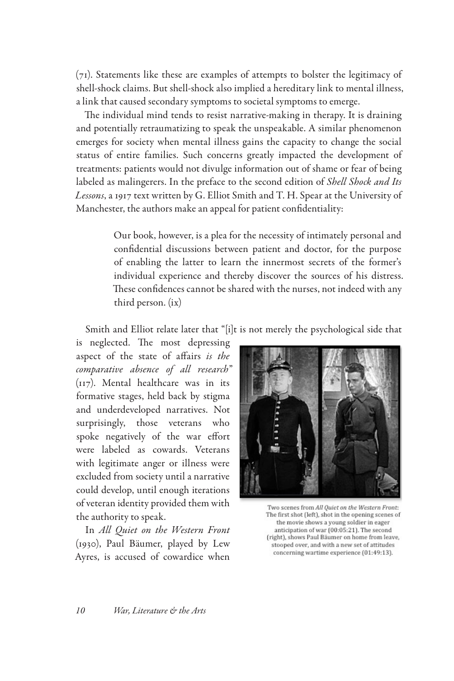(71). Statements like these are examples of attempts to bolster the legitimacy of shell-shock claims. But shell-shock also implied a hereditary link to mental illness, a link that caused secondary symptoms to societal symptoms to emerge.

The individual mind tends to resist narrative-making in therapy. It is draining and potentially retraumatizing to speak the unspeakable. A similar phenomenon emerges for society when mental illness gains the capacity to change the social status of entire families. Such concerns greatly impacted the development of treatments: patients would not divulge information out of shame or fear of being labeled as malingerers. In the preface to the second edition of *Shell Shock and Its Lessons*, a 1917 text written by G. Elliot Smith and T. H. Spear at the University of Manchester, the authors make an appeal for patient confidentiality:

> Our book, however, is a plea for the necessity of intimately personal and confidential discussions between patient and doctor, for the purpose of enabling the latter to learn the innermost secrets of the former's individual experience and thereby discover the sources of his distress. These confidences cannot be shared with the nurses, not indeed with any third person. (ix)

Smith and Elliot relate later that "[i]t is not merely the psychological side that

is neglected. The most depressing aspect of the state of affairs *is the comparative absence of all research*" (117). Mental healthcare was in its formative stages, held back by stigma and underdeveloped narratives. Not surprisingly, those veterans who spoke negatively of the war effort were labeled as cowards. Veterans with legitimate anger or illness were excluded from society until a narrative could develop, until enough iterations of veteran identity provided them with the authority to speak.

In *All Quiet on the Western Front* (1930), Paul Bäumer, played by Lew Ayres, is accused of cowardice when



Two scenes from All Quiet on the Western Front: The first shot (left), shot in the opening scenes of the movie shows a young soldier in eager anticipation of war (00:05:21). The second (right), shows Paul Bäumer on home from leave, stooped over, and with a new set of attitudes concerning wartime experience (01:49:13).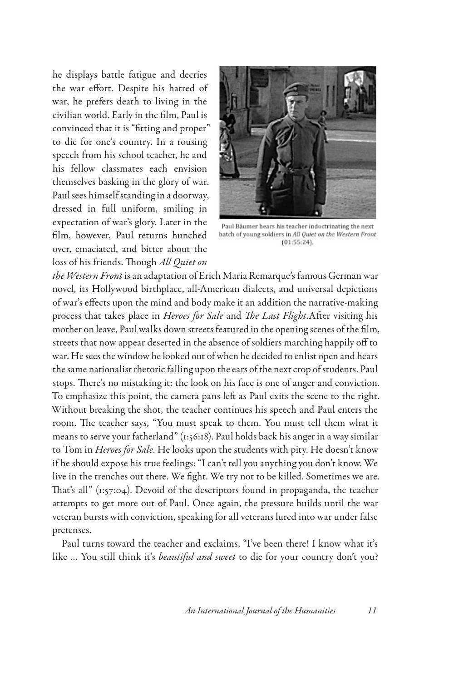he displays battle fatigue and decries the war effort. Despite his hatred of war, he prefers death to living in the civilian world. Early in the film, Paul is convinced that it is "fitting and proper" to die for one's country. In a rousing speech from his school teacher, he and his fellow classmates each envision themselves basking in the glory of war. Paul sees himself standing in a doorway, dressed in full uniform, smiling in expectation of war's glory. Later in the film, however, Paul returns hunched over, emaciated, and bitter about the loss of his friends. Though *All Quiet on* 



Paul Bäumer hears his teacher indoctrinating the next batch of young soldiers in All Quiet on the Western Front  $(01:55:24)$ .

*the Western Front* is an adaptation of Erich Maria Remarque's famous German war novel, its Hollywood birthplace, all-American dialects, and universal depictions of war's effects upon the mind and body make it an addition the narrative-making process that takes place in *Heroes for Sale* and *The Last Flight*.After visiting his mother on leave, Paul walks down streets featured in the opening scenes of the film, streets that now appear deserted in the absence of soldiers marching happily off to war. He sees the window he looked out of when he decided to enlist open and hears the same nationalist rhetoric falling upon the ears of the next crop of students. Paul stops. There's no mistaking it: the look on his face is one of anger and conviction. To emphasize this point, the camera pans left as Paul exits the scene to the right. Without breaking the shot, the teacher continues his speech and Paul enters the room. The teacher says, "You must speak to them. You must tell them what it means to serve your fatherland" (1:56:18). Paul holds back his anger in a way similar to Tom in *Heroes for Sale*. He looks upon the students with pity. He doesn't know if he should expose his true feelings: "I can't tell you anything you don't know. We live in the trenches out there. We fight. We try not to be killed. Sometimes we are. That's all" (1:57:04). Devoid of the descriptors found in propaganda, the teacher attempts to get more out of Paul. Once again, the pressure builds until the war veteran bursts with conviction, speaking for all veterans lured into war under false pretenses.

Paul turns toward the teacher and exclaims, "I've been there! I know what it's like … You still think it's *beautiful and sweet* to die for your country don't you?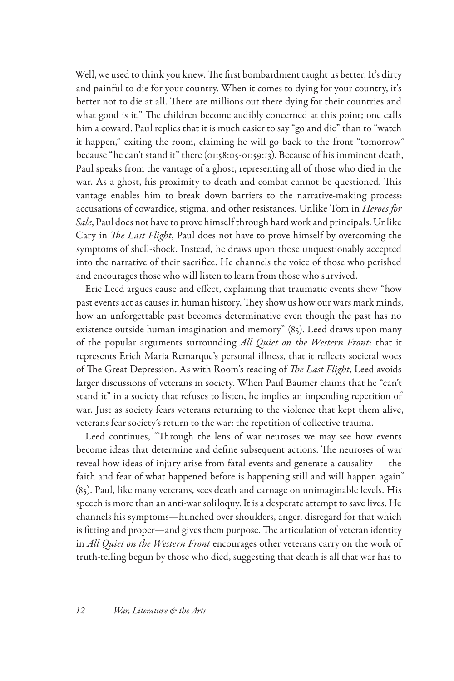Well, we used to think you knew. The first bombardment taught us better. It's dirty and painful to die for your country. When it comes to dying for your country, it's better not to die at all. There are millions out there dying for their countries and what good is it." The children become audibly concerned at this point; one calls him a coward. Paul replies that it is much easier to say "go and die" than to "watch it happen," exiting the room, claiming he will go back to the front "tomorrow" because "he can't stand it" there (01:58:05-01:59:13). Because of his imminent death, Paul speaks from the vantage of a ghost, representing all of those who died in the war. As a ghost, his proximity to death and combat cannot be questioned. This vantage enables him to break down barriers to the narrative-making process: accusations of cowardice, stigma, and other resistances. Unlike Tom in *Heroes for Sale*, Paul does not have to prove himself through hard work and principals. Unlike Cary in *The Last Flight*, Paul does not have to prove himself by overcoming the symptoms of shell-shock. Instead, he draws upon those unquestionably accepted into the narrative of their sacrifice. He channels the voice of those who perished and encourages those who will listen to learn from those who survived.

Eric Leed argues cause and effect, explaining that traumatic events show "how past events act as causes in human history. They show us how our wars mark minds, how an unforgettable past becomes determinative even though the past has no existence outside human imagination and memory" (85). Leed draws upon many of the popular arguments surrounding *All Quiet on the Western Front*: that it represents Erich Maria Remarque's personal illness, that it reflects societal woes of The Great Depression. As with Room's reading of *The Last Flight*, Leed avoids larger discussions of veterans in society. When Paul Bäumer claims that he "can't stand it" in a society that refuses to listen, he implies an impending repetition of war. Just as society fears veterans returning to the violence that kept them alive, veterans fear society's return to the war: the repetition of collective trauma.

Leed continues, "Through the lens of war neuroses we may see how events become ideas that determine and define subsequent actions. The neuroses of war reveal how ideas of injury arise from fatal events and generate a causality — the faith and fear of what happened before is happening still and will happen again" (85). Paul, like many veterans, sees death and carnage on unimaginable levels. His speech is more than an anti-war soliloquy. It is a desperate attempt to save lives. He channels his symptoms—hunched over shoulders, anger, disregard for that which is fitting and proper—and gives them purpose. The articulation of veteran identity in *All Quiet on the Western Front* encourages other veterans carry on the work of truth-telling begun by those who died, suggesting that death is all that war has to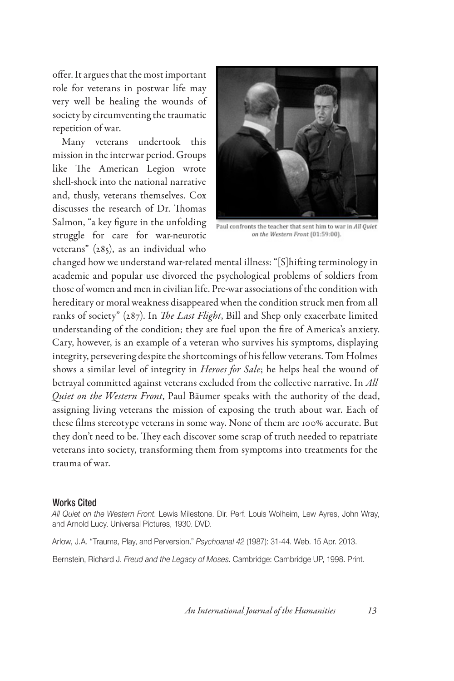offer. It argues that the most important role for veterans in postwar life may very well be healing the wounds of society by circumventing the traumatic repetition of war.

Many veterans undertook this mission in the interwar period. Groups like The American Legion wrote shell-shock into the national narrative and, thusly, veterans themselves. Cox discusses the research of Dr. Thomas Salmon, "a key figure in the unfolding struggle for care for war-neurotic veterans" (285), as an individual who



Paul confronts the teacher that sent him to war in All Quiet on the Western Front (01:59:00).

changed how we understand war-related mental illness: "[S]hifting terminology in academic and popular use divorced the psychological problems of soldiers from those of women and men in civilian life. Pre-war associations of the condition with hereditary or moral weakness disappeared when the condition struck men from all ranks of society" (287). In *The Last Flight*, Bill and Shep only exacerbate limited understanding of the condition; they are fuel upon the fire of America's anxiety. Cary, however, is an example of a veteran who survives his symptoms, displaying integrity, persevering despite the shortcomings of his fellow veterans. Tom Holmes shows a similar level of integrity in *Heroes for Sale*; he helps heal the wound of betrayal committed against veterans excluded from the collective narrative. In *All Quiet on the Western Front*, Paul Bäumer speaks with the authority of the dead, assigning living veterans the mission of exposing the truth about war. Each of these films stereotype veterans in some way. None of them are 100% accurate. But they don't need to be. They each discover some scrap of truth needed to repatriate veterans into society, transforming them from symptoms into treatments for the trauma of war.

## Works Cited

*All Quiet on the Western Front*. Lewis Milestone. Dir. Perf. Louis Wolheim, Lew Ayres, John Wray, and Arnold Lucy. Universal Pictures, 1930. DVD.

Arlow, J.A. "Trauma, Play, and Perversion." *Psychoanal 42* (1987): 31-44. Web. 15 Apr. 2013.

Bernstein, Richard J. *Freud and the Legacy of Moses*. Cambridge: Cambridge UP, 1998. Print.

*An International Journal of the Humanities 13*